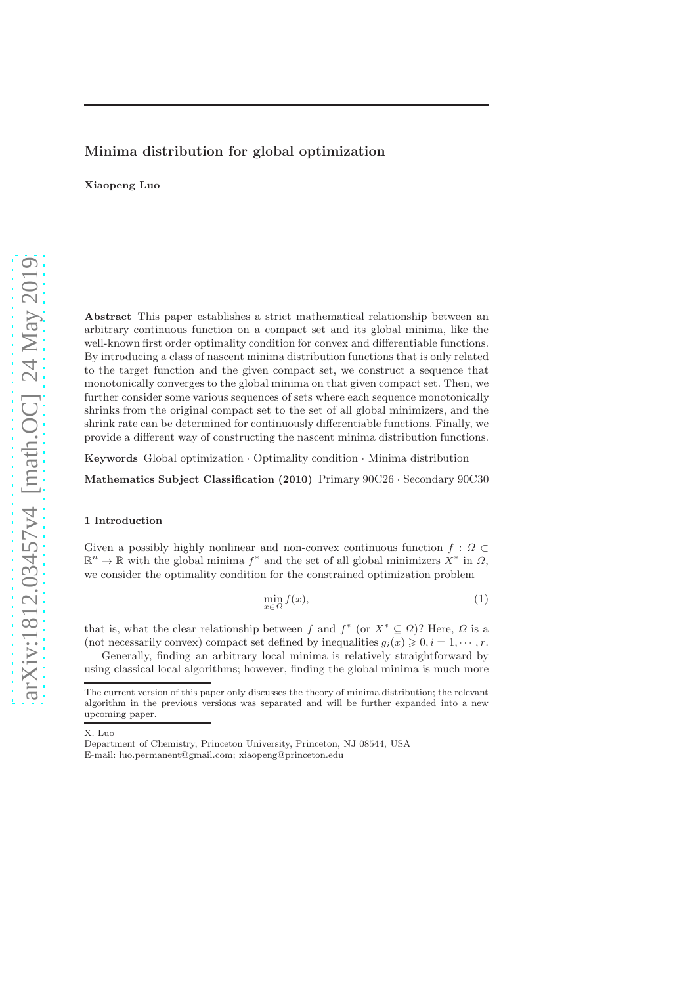## Minima distribution for global optimization

Xiaopeng Luo

Abstract This paper establishes a strict mathematical relationship between an arbitrary continuous function on a compact set and its global minima, like the well-known first order optimality condition for convex and differentiable functions. By introducing a class of nascent minima distribution functions that is only related to the target function and the given compact set, we construct a sequence that monotonically converges to the global minima on that given compact set. Then, we further consider some various sequences of sets where each sequence monotonically shrinks from the original compact set to the set of all global minimizers, and the shrink rate can be determined for continuously differentiable functions. Finally, we provide a different way of constructing the nascent minima distribution functions.

Keywords Global optimization · Optimality condition · Minima distribution

Mathematics Subject Classification (2010) Primary 90C26 · Secondary 90C30

### 1 Introduction

Given a possibly highly nonlinear and non-convex continuous function  $f : \Omega \subset$  $\mathbb{R}^n \to \mathbb{R}$  with the global minima  $f^*$  and the set of all global minimizers  $X^*$  in  $\Omega$ , we consider the optimality condition for the constrained optimization problem

$$
\min_{x \in \Omega} f(x),\tag{1}
$$

that is, what the clear relationship between f and  $f^*$  (or  $X^* \subseteq \Omega$ )? Here,  $\Omega$  is a (not necessarily convex) compact set defined by inequalities  $g_i(x) \geq 0, i = 1, \dots, r$ .

Generally, finding an arbitrary local minima is relatively straightforward by using classical local algorithms; however, finding the global minima is much more

X. Luo

The current version of this paper only discusses the theory of minima distribution; the relevant algorithm in the previous versions was separated and will be further expanded into a new upcoming paper.

Department of Chemistry, Princeton University, Princeton, NJ 08544, USA E-mail: luo.permanent@gmail.com; xiaopeng@princeton.edu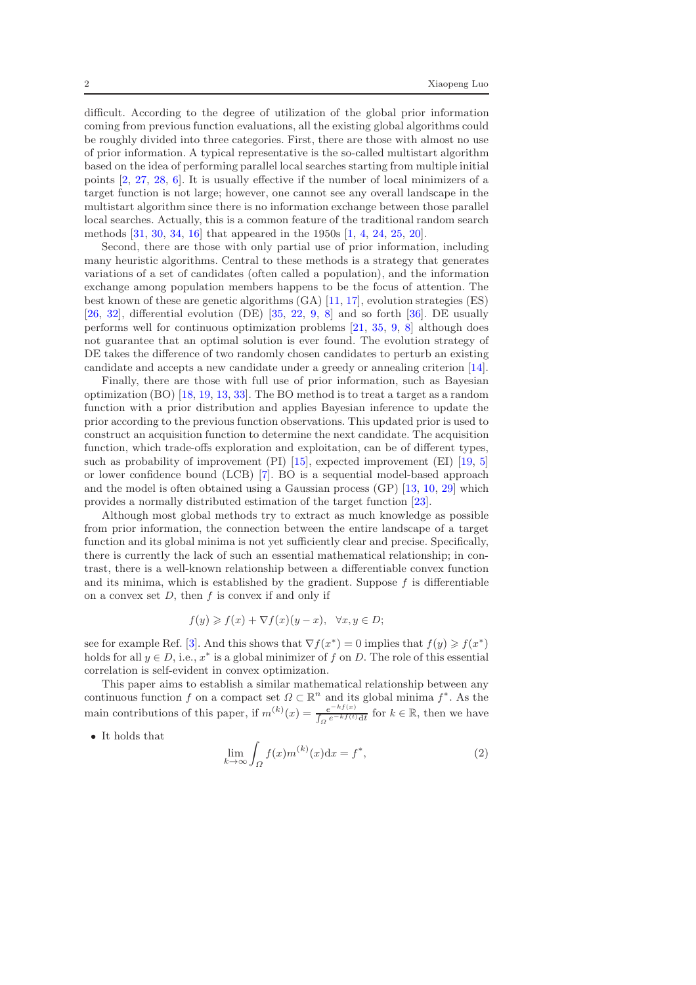difficult. According to the degree of utilization of the global prior information coming from previous function evaluations, all the existing global algorithms could be roughly divided into three categories. First, there are those with almost no use of prior information. A typical representative is the so-called multistart algorithm based on the idea of performing parallel local searches starting from multiple initial points [\[2](#page-16-0), [27](#page-17-0), [28](#page-17-1), [6\]](#page-16-1). It is usually effective if the number of local minimizers of a target function is not large; however, one cannot see any overall landscape in the multistart algorithm since there is no information exchange between those parallel local searches. Actually, this is a common feature of the traditional random search methods [\[31,](#page-18-0) [30](#page-18-1), [34](#page-18-2), [16\]](#page-17-2) that appeared in the 1950s [\[1,](#page-16-2) [4,](#page-16-3) [24](#page-17-3), [25,](#page-17-4) [20\]](#page-17-5).

Second, there are those with only partial use of prior information, including many heuristic algorithms. Central to these methods is a strategy that generates variations of a set of candidates (often called a population), and the information exchange among population members happens to be the focus of attention. The best known of these are genetic algorithms (GA) [\[11,](#page-17-6) [17\]](#page-17-7), evolution strategies (ES) [\[26,](#page-17-8) [32](#page-18-3)], differential evolution (DE) [\[35,](#page-18-4) [22,](#page-17-9) [9](#page-17-10), [8](#page-17-11)] and so forth [\[36\]](#page-18-5). DE usually performs well for continuous optimization problems [\[21,](#page-17-12) [35,](#page-18-4) [9](#page-17-10), [8](#page-17-11)] although does not guarantee that an optimal solution is ever found. The evolution strategy of DE takes the difference of two randomly chosen candidates to perturb an existing candidate and accepts a new candidate under a greedy or annealing criterion [\[14](#page-17-13)].

Finally, there are those with full use of prior information, such as Bayesian optimization (BO) [\[18,](#page-17-14) [19,](#page-17-15) [13,](#page-17-16) [33\]](#page-18-6). The BO method is to treat a target as a random function with a prior distribution and applies Bayesian inference to update the prior according to the previous function observations. This updated prior is used to construct an acquisition function to determine the next candidate. The acquisition function, which trade-offs exploration and exploitation, can be of different types, such as probability of improvement (PI) [\[15](#page-17-17)], expected improvement (EI) [\[19,](#page-17-15) [5\]](#page-16-4) or lower confidence bound (LCB) [\[7\]](#page-16-5). BO is a sequential model-based approach and the model is often obtained using a Gaussian process (GP) [\[13](#page-17-16), [10,](#page-17-18) [29](#page-18-7)] which provides a normally distributed estimation of the target function [\[23\]](#page-17-19).

Although most global methods try to extract as much knowledge as possible from prior information, the connection between the entire landscape of a target function and its global minima is not yet sufficiently clear and precise. Specifically, there is currently the lack of such an essential mathematical relationship; in contrast, there is a well-known relationship between a differentiable convex function and its minima, which is established by the gradient. Suppose  $f$  is differentiable on a convex set  $D$ , then  $f$  is convex if and only if

$$
f(y) \geqslant f(x) + \nabla f(x)(y - x), \quad \forall x, y \in D;
$$

see for example Ref. [\[3](#page-16-6)]. And this shows that  $\nabla f(x^*) = 0$  implies that  $f(y) \geq f(x^*)$ holds for all  $y \in D$ , i.e.,  $x^*$  is a global minimizer of f on D. The role of this essential correlation is self-evident in convex optimization.

This paper aims to establish a similar mathematical relationship between any continuous function f on a compact set  $\Omega \subset \mathbb{R}^n$  and its global minima  $f^*$ . As the main contributions of this paper, if  $m^{(k)}(x) = \frac{e^{-kf(x)}}{1 - e^{-kf(t)}}$  $\frac{e^{-kt(x)}}{\int_{\Omega} e^{-kf(t)} dt}$  for  $k \in \mathbb{R}$ , then we have

• It holds that

$$
\lim_{k \to \infty} \int_{\Omega} f(x) m^{(k)}(x) dx = f^*,
$$
\n(2)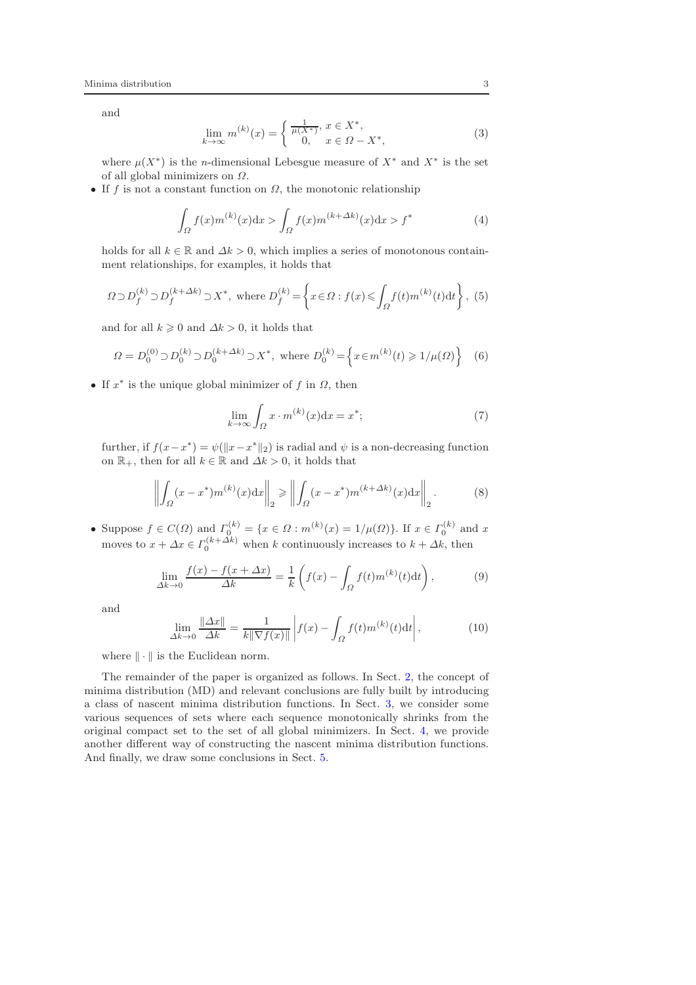and

$$
\lim_{k \to \infty} m^{(k)}(x) = \begin{cases} \frac{1}{\mu(X^*)}, x \in X^*, \\ 0, x \in \Omega - X^*, \end{cases}
$$
 (3)

where  $\mu(X^*)$  is the *n*-dimensional Lebesgue measure of  $X^*$  and  $X^*$  is the set of all global minimizers on Ω.

• If f is not a constant function on  $\Omega$ , the monotonic relationship

$$
\int_{\Omega} f(x)m^{(k)}(x)dx > \int_{\Omega} f(x)m^{(k+\Delta k)}(x)dx > f^{*}
$$
\n(4)

holds for all  $k \in \mathbb{R}$  and  $\Delta k > 0$ , which implies a series of monotonous containment relationships, for examples, it holds that

$$
\Omega \supset D_f^{(k)} \supset D_f^{(k+\Delta k)} \supset X^*, \text{ where } D_f^{(k)} = \left\{ x \in \Omega : f(x) \leqslant \int_{\Omega} f(t) m^{(k)}(t) dt \right\}, \tag{5}
$$

and for all  $k \geq 0$  and  $\Delta k > 0$ , it holds that

$$
\Omega = D_0^{(0)} \supset D_0^{(k)} \supset D_0^{(k + \Delta k)} \supset X^*, \text{ where } D_0^{(k)} = \left\{ x \in m^{(k)}(t) \ge 1/\mu(\Omega) \right\} \tag{6}
$$

• If  $x^*$  is the unique global minimizer of f in  $\Omega$ , then

$$
\lim_{k \to \infty} \int_{\Omega} x \cdot m^{(k)}(x) dx = x^*;
$$
\n(7)

further, if  $f(x - x^*) = \psi(||x - x^*||_2)$  is radial and  $\psi$  is a non-decreasing function on  $\mathbb{R}_+$ , then for all  $k \in \mathbb{R}$  and  $\Delta k > 0$ , it holds that

$$
\left\| \int_{\Omega} (x - x^*) m^{(k)}(x) dx \right\|_2 \ge \left\| \int_{\Omega} (x - x^*) m^{(k + \Delta k)}(x) dx \right\|_2.
$$
 (8)

• Suppose  $f \in C(\Omega)$  and  $\Gamma_0^{(k)} = \{x \in \Omega : m^{(k)}(x) = 1/\mu(\Omega)\}\)$ . If  $x \in \Gamma_0^{(k)}$  and  $x$ moves to  $x + \Delta x \in \Gamma_0^{(k+\Delta k)}$  when k continuously increases to  $k + \Delta k$ , then

$$
\lim_{\Delta k \to 0} \frac{f(x) - f(x + \Delta x)}{\Delta k} = \frac{1}{k} \left( f(x) - \int_{\Omega} f(t) m^{(k)}(t) dt \right),\tag{9}
$$

and

$$
\lim_{\Delta k \to 0} \frac{\|\Delta x\|}{\Delta k} = \frac{1}{k \|\nabla f(x)\|} \left| f(x) - \int_{\Omega} f(t) m^{(k)}(t) \mathrm{d}t \right|, \tag{10}
$$

where  $\|\cdot\|$  is the Euclidean norm.

The remainder of the paper is organized as follows. In Sect. [2,](#page-3-0) the concept of minima distribution (MD) and relevant conclusions are fully built by introducing a class of nascent minima distribution functions. In Sect. [3,](#page-12-0) we consider some various sequences of sets where each sequence monotonically shrinks from the original compact set to the set of all global minimizers. In Sect. [4,](#page-15-0) we provide another different way of constructing the nascent minima distribution functions. And finally, we draw some conclusions in Sect. [5.](#page-16-7)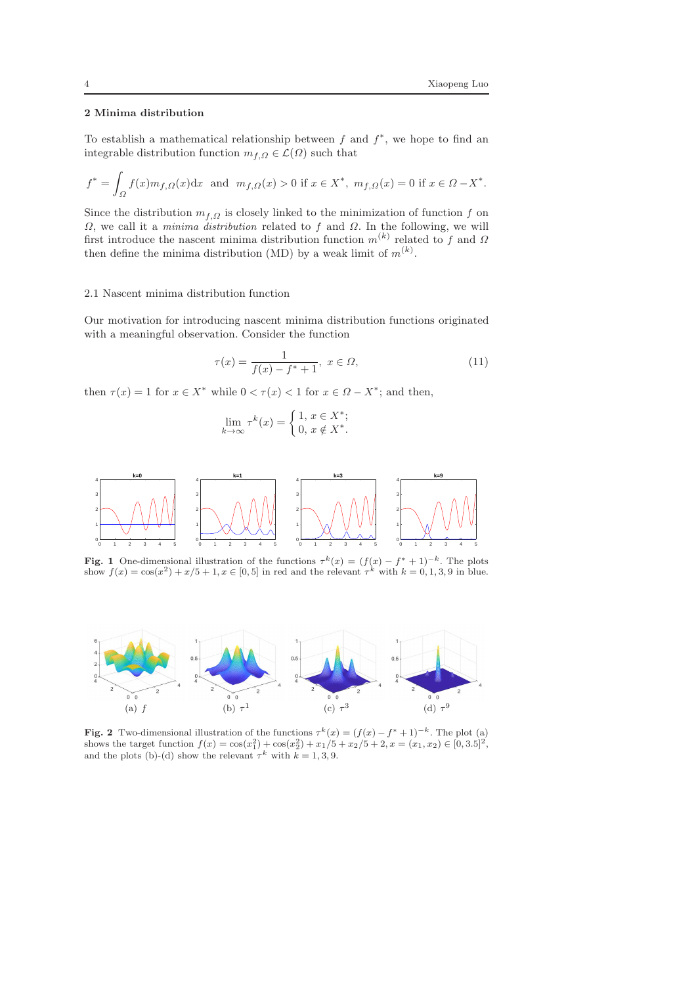## <span id="page-3-0"></span>2 Minima distribution

To establish a mathematical relationship between  $f$  and  $f^*$ , we hope to find an integrable distribution function  $m_{f,Q} \in \mathcal{L}(\Omega)$  such that

$$
f^* = \int_{\Omega} f(x)m_{f,\Omega}(x)dx \text{ and } m_{f,\Omega}(x) > 0 \text{ if } x \in X^*, m_{f,\Omega}(x) = 0 \text{ if } x \in \Omega - X^*.
$$

Since the distribution  $m_{f,Q}$  is closely linked to the minimization of function f on Ω, we call it a *minima distribution* related to f and Ω. In the following, we will first introduce the nascent minima distribution function  $m^{(k)}$  related to f and  $\Omega$ then define the minima distribution (MD) by a weak limit of  $m^{(k)}$ .

#### 2.1 Nascent minima distribution function

Our motivation for introducing nascent minima distribution functions originated with a meaningful observation. Consider the function

<span id="page-3-3"></span>
$$
\tau(x) = \frac{1}{f(x) - f^* + 1}, \ x \in \Omega,\tag{11}
$$

then  $\tau(x) = 1$  for  $x \in X^*$  while  $0 < \tau(x) < 1$  for  $x \in \Omega - X^*$ ; and then,

$$
\lim_{k \to \infty} \tau^k(x) = \begin{cases} 1, x \in X^*; \\ 0, x \notin X^*. \end{cases}
$$



<span id="page-3-1"></span>Fig. 1 One-dimensional illustration of the functions  $\tau^k(x) = (f(x) - f^* + 1)^{-k}$ . The plots show  $f(x) = \cos(x^2) + x/5 + 1, x \in [0, 5]$  in red and the relevant  $\tau^k$  with  $k = 0, 1, 3, 9$  in blue.



<span id="page-3-2"></span>Fig. 2 Two-dimensional illustration of the functions  $\tau^k(x) = (f(x) - f^* + 1)^{-k}$ . The plot (a) shows the target function  $f(x) = \cos(x_1^2) + \cos(x_2^2) + x_1/5 + x_2/5 + 2, x = (x_1, x_2) \in [0, 3.5]^2$ , and the plots (b)-(d) show the relevant  $\tau^k$  with  $k = 1, 3, 9$ .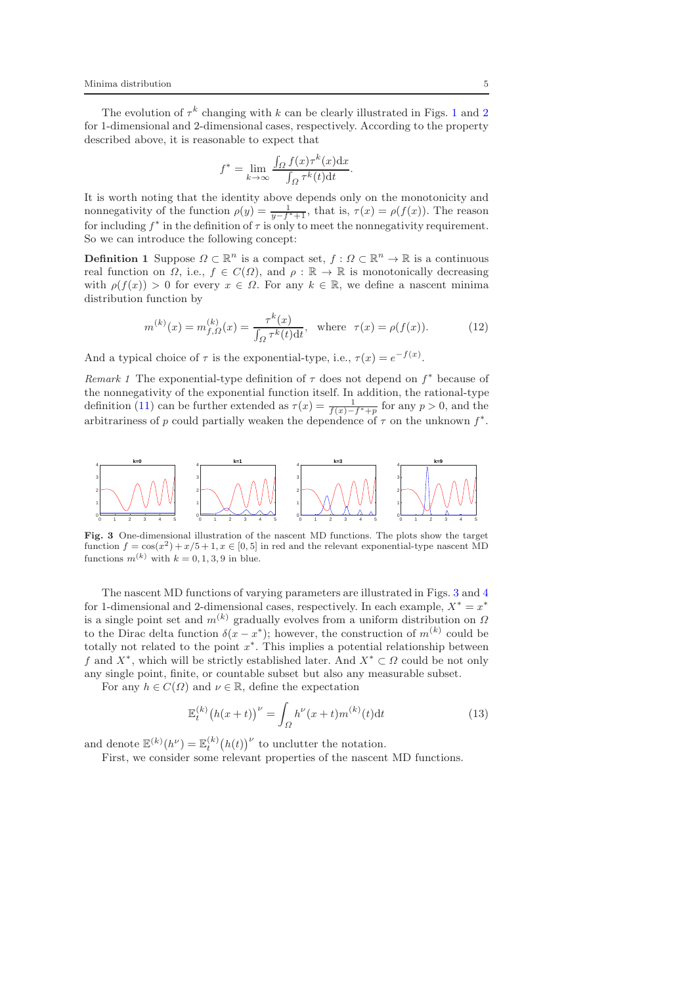The evolution of  $\tau^k$  changing with k can be clearly illustrated in Figs. [1](#page-3-1) and [2](#page-3-2) for 1-dimensional and 2-dimensional cases, respectively. According to the property described above, it is reasonable to expect that

$$
f^* = \lim_{k \to \infty} \frac{\int_{\Omega} f(x) \tau^k(x) dx}{\int_{\Omega} \tau^k(t) dt}
$$

It is worth noting that the identity above depends only on the monotonicity and nonnegativity of the function  $\rho(y) = \frac{1}{y - f^* + 1}$ , that is,  $\tau(x) = \rho(f(x))$ . The reason for including  $f^*$  in the definition of  $\tau$  is only to meet the nonnegativity requirement. So we can introduce the following concept:

**Definition 1** Suppose  $\Omega \subset \mathbb{R}^n$  is a compact set,  $f: \Omega \subset \mathbb{R}^n \to \mathbb{R}$  is a continuous real function on  $\Omega$ , i.e.,  $f \in C(\Omega)$ , and  $\rho : \mathbb{R} \to \mathbb{R}$  is monotonically decreasing with  $\rho(f(x)) > 0$  for every  $x \in \Omega$ . For any  $k \in \mathbb{R}$ , we define a nascent minima distribution function by

<span id="page-4-1"></span>
$$
m^{(k)}(x) = m_{f,\Omega}^{(k)}(x) = \frac{\tau^k(x)}{\int_{\Omega} \tau^k(t) dt}, \text{ where } \tau(x) = \rho(f(x)).
$$
 (12)

.

And a typical choice of  $\tau$  is the exponential-type, i.e.,  $\tau(x) = e^{-f(x)}$ .

*Remark 1* The exponential-type definition of  $\tau$  does not depend on  $f^*$  because of the nonnegativity of the exponential function itself. In addition, the rational-type definition [\(11\)](#page-3-3) can be further extended as  $\tau(x) = \frac{1}{f(x) - f^* + p}$  for any  $p > 0$ , and the arbitrariness of p could partially weaken the dependence of  $\tau$  on the unknown  $f^*$ .



<span id="page-4-0"></span>Fig. 3 One-dimensional illustration of the nascent MD functions. The plots show the target function  $f = cos(x^2) + x/5 + 1, x \in [0, 5]$  in red and the relevant exponential-type nascent MD functions  $m^{(k)}$  with  $k = 0, 1, 3, 9$  in blue.

The nascent MD functions of varying parameters are illustrated in Figs. [3](#page-4-0) and [4](#page-5-0) for 1-dimensional and 2-dimensional cases, respectively. In each example,  $X^* = x^*$ is a single point set and  $m^{(k)}$  gradually evolves from a uniform distribution on  $\Omega$ to the Dirac delta function  $\delta(x-x^*)$ ; however, the construction of  $m^{(k)}$  could be totally not related to the point  $x^*$ . This implies a potential relationship between f and  $X^*$ , which will be strictly established later. And  $X^* \subset \Omega$  could be not only any single point, finite, or countable subset but also any measurable subset.

For any  $h \in C(\Omega)$  and  $\nu \in \mathbb{R}$ , define the expectation

<span id="page-4-2"></span>
$$
\mathbb{E}_{t}^{(k)}(h(x+t))^{\nu} = \int_{\Omega} h^{\nu}(x+t) m^{(k)}(t) dt
$$
\n(13)

and denote  $\mathbb{E}^{(k)}(h^{\nu}) = \mathbb{E}_{t}^{(k)}(h(t))^{\nu}$  to unclutter the notation.

First, we consider some relevant properties of the nascent MD functions.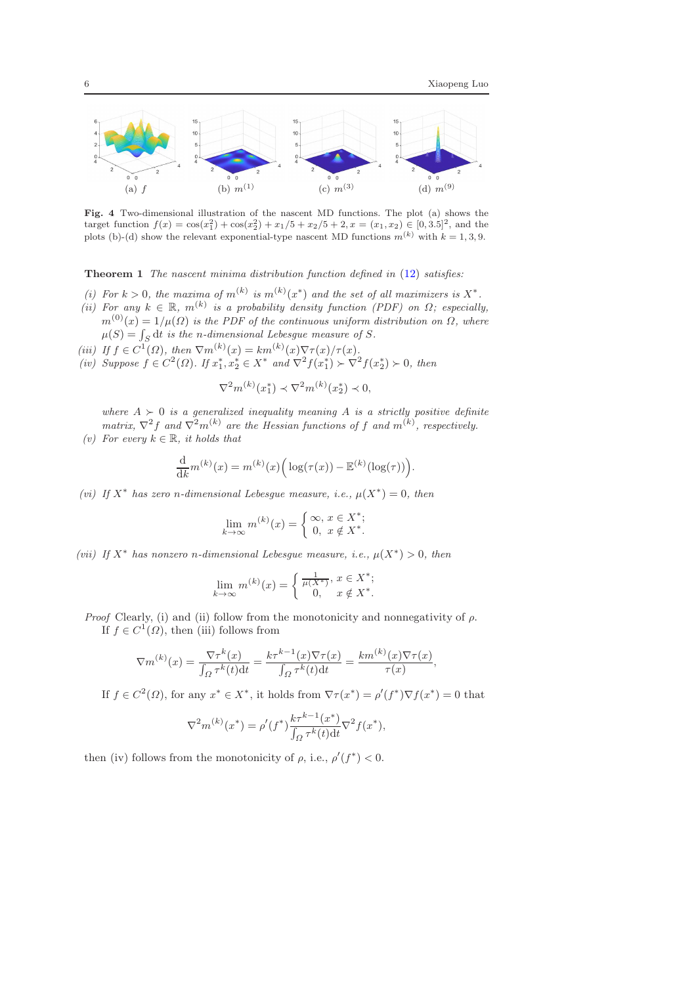

<span id="page-5-0"></span>Fig. 4 Two-dimensional illustration of the nascent MD functions. The plot (a) shows the target function  $f(x) = \cos(x_1^2) + \cos(x_2^2) + x_1/5 + x_2/5 + 2, x = (x_1, x_2) \in [0, 3.5]^2$ , and the plots (b)-(d) show the relevant exponential-type nascent MD functions  $m^{(k)}$  with  $k = 1, 3, 9$ .

Theorem 1 *The nascent minima distribution function defined in* [\(12\)](#page-4-1) *satisfies:*

- (*i*) For  $k > 0$ , the maxima of  $m^{(k)}$  is  $m^{(k)}(x^*)$  and the set of all maximizers is  $X^*$ .
- (*ii*) For any  $k \in \mathbb{R}$ ,  $m^{(k)}$  is a probability density function (PDF) on  $\Omega$ ; especially,  $m^{(0)}(x) = 1/\mu(\Omega)$  *is the PDF of the continuous uniform distribution on*  $\Omega$ *, where*
- $\mu(S) = \int_S dt$  is the *n*-dimensional Lebesgue measure of S.
- (*iii*) If  $f \in C^1(\Omega)$ , then  $\nabla m^{(k)}(x) = km^{(k)}(x) \nabla \tau(x) / \tau(x)$ .
- *(iv)* Suppose  $f \in C^2(\Omega)$ . If  $x_1^*, x_2^* \in X^*$  and  $\nabla^2 f(x_1^*) \succ \nabla^2 f(x_2^*) \succ 0$ , then

$$
\nabla^2 m^{(k)}(x_1^*) \prec \nabla^2 m^{(k)}(x_2^*) \prec 0,
$$

*where*  $A \succ 0$  *is a generalized inequality meaning* A *is a strictly positive definite*  $matrix, \nabla^2 f$  and  $\nabla^2 m^{(k)}$  are the Hessian functions of f and  $m^{(k)}$ , respectively.

*(v)* For every  $k ∈ ℝ$ *, it holds that* 

$$
\frac{\mathrm{d}}{\mathrm{d}k}m^{(k)}(x) = m^{(k)}(x)\Big(\log(\tau(x)) - \mathbb{E}^{(k)}(\log(\tau))\Big).
$$

(*vi*) If  $X^*$  has zero *n*-dimensional Lebesgue measure, i.e.,  $\mu(X^*) = 0$ , then

$$
\lim_{k \to \infty} m^{(k)}(x) = \begin{cases} \infty, x \in X^*; \\ 0, x \notin X^*. \end{cases}
$$

(*vii*) *If*  $X^*$  has nonzero *n*-dimensional Lebesgue measure, *i.e.*,  $\mu(X^*) > 0$ , then

$$
\lim_{k \to \infty} m^{(k)}(x) = \begin{cases} \frac{1}{\mu(X^*)}, & x \in X^*; \\ 0, & x \notin X^*. \end{cases}
$$

*Proof* Clearly, (i) and (ii) follow from the monotonicity and nonnegativity of  $\rho$ . If  $f \in C^1(\Omega)$ , then (iii) follows from

$$
\nabla m^{(k)}(x) = \frac{\nabla \tau^k(x)}{\int_{\Omega} \tau^k(t) dt} = \frac{k \tau^{k-1}(x) \nabla \tau(x)}{\int_{\Omega} \tau^k(t) dt} = \frac{k m^{(k)}(x) \nabla \tau(x)}{\tau(x)},
$$

If  $f \in C^2(\Omega)$ , for any  $x^* \in X^*$ , it holds from  $\nabla \tau(x^*) = \rho'(f^*) \nabla f(x^*) = 0$  that

$$
\nabla^2 m^{(k)}(x^*) = \rho'(f^*) \frac{k \tau^{k-1}(x^*)}{\int_{\Omega} \tau^k(t) dt} \nabla^2 f(x^*),
$$

then (iv) follows from the monotonicity of  $\rho$ , i.e.,  $\rho'(f^*) < 0$ .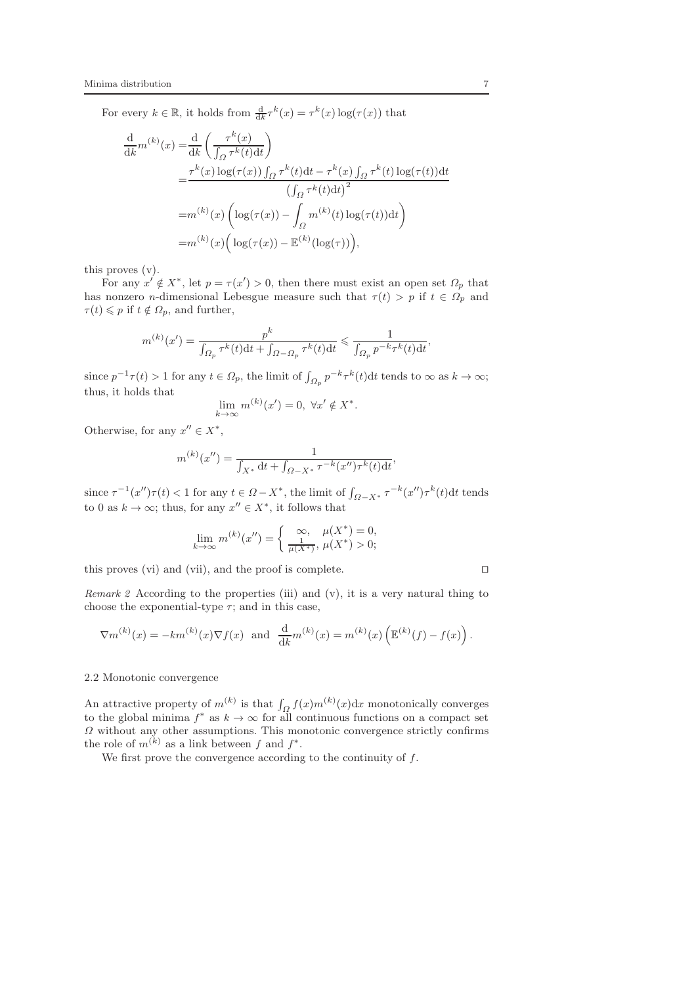For every  $k \in \mathbb{R}$ , it holds from  $\frac{d}{dk} \tau^k(x) = \tau^k(x) \log(\tau(x))$  that

$$
\frac{d}{dk}m^{(k)}(x) = \frac{d}{dk} \left( \frac{\tau^k(x)}{\int_{\Omega} \tau^k(t)dt} \right)
$$
\n
$$
= \frac{\tau^k(x) \log(\tau(x)) \int_{\Omega} \tau^k(t)dt - \tau^k(x) \int_{\Omega} \tau^k(t) \log(\tau(t))dt}{(\int_{\Omega} \tau^k(t)dt)^2}
$$
\n
$$
= m^{(k)}(x) \left( \log(\tau(x)) - \int_{\Omega} m^{(k)}(t) \log(\tau(t))dt \right)
$$
\n
$$
= m^{(k)}(x) \left( \log(\tau(x)) - \mathbb{E}^{(k)}(\log(\tau)) \right),
$$

this proves (v).

For any  $x' \notin X^*$ , let  $p = \tau(x') > 0$ , then there must exist an open set  $\Omega_p$  that has nonzero *n*-dimensional Lebesgue measure such that  $\tau(t) > p$  if  $t \in \Omega_p$  and  $\tau(t) \leqslant p$  if  $t \notin \Omega_p$ , and further,

$$
m^{(k)}(x') = \frac{p^k}{\int_{\Omega_p} \tau^k(t)dt + \int_{\Omega - \Omega_p} \tau^k(t)dt} \leq \frac{1}{\int_{\Omega_p} p^{-k} \tau^k(t)dt},
$$

since  $p^{-1}\tau(t) > 1$  for any  $t \in \Omega_p$ , the limit of  $\int_{\Omega_p} p^{-k}\tau^k(t)dt$  tends to  $\infty$  as  $k \to \infty$ ; thus, it holds that

$$
\lim_{k \to \infty} m^{(k)}(x') = 0, \ \forall x' \notin X^*.
$$

Otherwise, for any  $x'' \in X^*$ ,

$$
m^{(k)}(x'') = \frac{1}{\int_{X^*} dt + \int_{\Omega - X^*} \tau^{-k}(x'') \tau^k(t) dt}
$$

,

since  $\tau^{-1}(x'')\tau(t) < 1$  for any  $t \in \Omega - X^*$ , the limit of  $\int_{\Omega - X^*} \tau^{-k}(x'') \tau^{k}(t) dt$  tends to 0 as  $k \to \infty$ ; thus, for any  $x'' \in X^*$ , it follows that

$$
\lim_{k \to \infty} m^{(k)}(x'') = \begin{cases} \infty, & \mu(X^*) = 0, \\ \frac{1}{\mu(X^*)}, & \mu(X^*) > 0; \end{cases}
$$

this proves (vi) and (vii), and the proof is complete. ⊓⊔

*Remark 2* According to the properties (iii) and (v), it is a very natural thing to choose the exponential-type  $\tau$ ; and in this case,

$$
\nabla m^{(k)}(x) = -km^{(k)}(x)\nabla f(x) \text{ and } \frac{d}{dk}m^{(k)}(x) = m^{(k)}(x)\left(\mathbb{E}^{(k)}(f) - f(x)\right).
$$

2.2 Monotonic convergence

An attractive property of  $m^{(k)}$  is that  $\int_{\Omega} f(x) m^{(k)}(x) dx$  monotonically converges to the global minima  $f^*$  as  $k \to \infty$  for all continuous functions on a compact set  $\Omega$  without any other assumptions. This monotonic convergence strictly confirms the role of  $m^{(k)}$  as a link between f and  $f^*$ .

We first prove the convergence according to the continuity of  $f$ .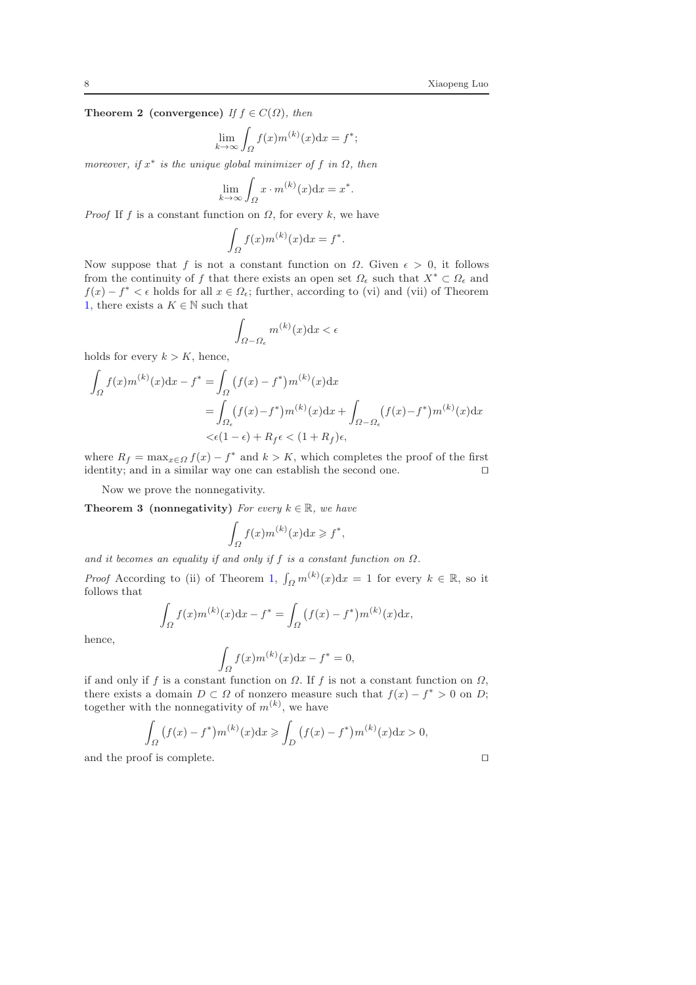**Theorem 2 (convergence)** *If*  $f \in C(\Omega)$ *, then* 

$$
\lim_{k \to \infty} \int_{\Omega} f(x) m^{(k)}(x) \mathrm{d}x = f^*;
$$

 $$ 

$$
\lim_{k \to \infty} \int_{\Omega} x \cdot m^{(k)}(x) \mathrm{d}x = x^*.
$$

*Proof* If f is a constant function on  $\Omega$ , for every k, we have

$$
\int_{\Omega} f(x) m^{(k)}(x) \mathrm{d}x = f^*.
$$

Now suppose that f is not a constant function on  $\Omega$ . Given  $\epsilon > 0$ , it follows from the continuity of f that there exists an open set  $\Omega_{\epsilon}$  such that  $X^* \subset \Omega_{\epsilon}$  and  $f(x) - f^* < \epsilon$  holds for all  $x \in \Omega_{\epsilon}$ ; further, according to (vi) and (vii) of Theorem [1,](#page-4-2) there exists a  $K \in \mathbb{N}$  such that

$$
\int_{\Omega-\Omega_{\epsilon}} m^{(k)}(x) \mathrm{d}x < \epsilon
$$

holds for every  $k > K$ , hence,

$$
\int_{\Omega} f(x)m^{(k)}(x)dx - f^* = \int_{\Omega} (f(x) - f^*)m^{(k)}(x)dx
$$

$$
= \int_{\Omega_{\epsilon}} (f(x) - f^*)m^{(k)}(x)dx + \int_{\Omega - \Omega_{\epsilon}} (f(x) - f^*)m^{(k)}(x)dx
$$

$$
< \epsilon (1 - \epsilon) + R_f \epsilon < (1 + R_f)\epsilon,
$$

where  $R_f = \max_{x \in \Omega} f(x) - f^*$  and  $k > K$ , which completes the proof of the first identity; and in a similar way one can establish the second one. ⊓⊔

Now we prove the nonnegativity.

**Theorem 3 (nonnegativity)** *For every*  $k \in \mathbb{R}$ *, we have* 

<span id="page-7-0"></span>
$$
\int_{\Omega} f(x) m^{(k)}(x) \mathrm{d}x \geqslant f^*,
$$

*and it becomes an equality if and only if*  $f$  *is a constant function on*  $\Omega$ *.* 

*Proof* According to (ii) of Theorem [1,](#page-4-2)  $\int_{\Omega} m^{(k)}(x) dx = 1$  for every  $k \in \mathbb{R}$ , so it follows that

$$
\int_{\Omega} f(x) m^{(k)}(x) dx - f^* = \int_{\Omega} (f(x) - f^*) m^{(k)}(x) dx,
$$

hence,

$$
\int_{\Omega} f(x) m^{(k)}(x) dx - f^* = 0,
$$

if and only if f is a constant function on  $\Omega$ . If f is not a constant function on  $\Omega$ , there exists a domain  $D \subset \Omega$  of nonzero measure such that  $f(x) - f^* > 0$  on D; together with the nonnegativity of  $m^{(k)}$ , we have

$$
\int_{\Omega} (f(x) - f^*) m^{(k)}(x) dx \ge \int_{D} (f(x) - f^*) m^{(k)}(x) dx > 0,
$$
  
and the proof is complete.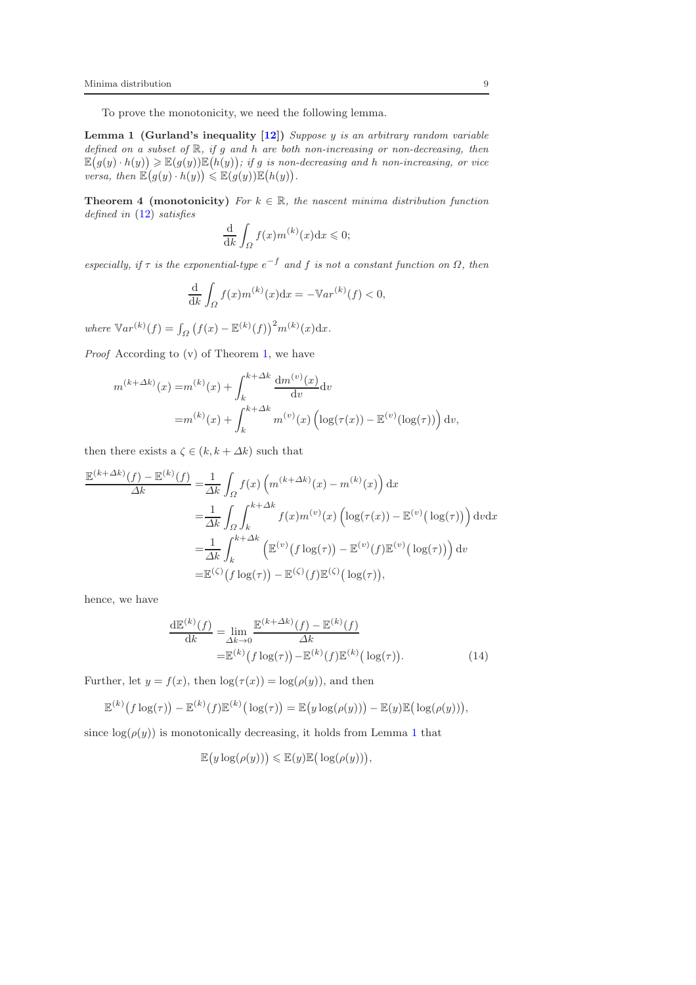To prove the monotonicity, we need the following lemma.

Lemma 1 (Gurland's inequality [\[12](#page-17-20)]) *Suppose* y *is an arbitrary random variable defined on a subset of* R*, if* g *and* h *are both non-increasing or non-decreasing, then*  $\mathbb{E}(g(y) \cdot h(y)) \geq \mathbb{E}(g(y))\mathbb{E}(h(y))$ ; if g is non-decreasing and h non-increasing, or vice *versa, then*  $\mathbb{E}(g(y) \cdot h(y)) \leq \mathbb{E}(g(y))\mathbb{E}(h(y)).$ 

<span id="page-8-1"></span>**Theorem 4 (monotonicity)** *For*  $k \in \mathbb{R}$ *, the nascent minima distribution function defined in* [\(12\)](#page-4-1) *satisfies*

<span id="page-8-0"></span>
$$
\frac{\mathrm{d}}{\mathrm{d}k} \int_{\Omega} f(x) m^{(k)}(x) \mathrm{d}x \leq 0;
$$

 $e$ *especially, if*  $\tau$  *is the exponential-type*  $e^{-f}$  *and*  $f$  *is not a constant function on*  $\Omega$ *, then* 

$$
\frac{\mathrm{d}}{\mathrm{d}k} \int_{\Omega} f(x) m^{(k)}(x) \mathrm{d}x = -\mathbb{V}ar^{(k)}(f) < 0,
$$

*where*  $\mathbb{V}ar^{(k)}(f) = \int_{\Omega} (f(x) - \mathbb{E}^{(k)}(f))^2 m^{(k)}(x) dx.$ 

*Proof* According to (v) of Theorem [1,](#page-4-2) we have

$$
m^{(k+\Delta k)}(x) = m^{(k)}(x) + \int_{k}^{k+\Delta k} \frac{dm^{(v)}(x)}{dv} dv
$$
  
=  $m^{(k)}(x) + \int_{k}^{k+\Delta k} m^{(v)}(x) \left( \log(\tau(x)) - \mathbb{E}^{(v)}(\log(\tau)) \right) dv$ ,

then there exists a  $\zeta \in (k, k + \Delta k)$  such that

$$
\frac{\mathbb{E}^{(k+\Delta k)}(f) - \mathbb{E}^{(k)}(f)}{\Delta k} = \frac{1}{\Delta k} \int_{\Omega} f(x) \left( m^{(k+\Delta k)}(x) - m^{(k)}(x) \right) dx
$$
  
\n
$$
= \frac{1}{\Delta k} \int_{\Omega} \int_{k}^{k+\Delta k} f(x) m^{(v)}(x) \left( \log(\tau(x)) - \mathbb{E}^{(v)}(\log(\tau)) \right) dv dx
$$
  
\n
$$
= \frac{1}{\Delta k} \int_{k}^{k+\Delta k} \left( \mathbb{E}^{(v)}(f \log(\tau)) - \mathbb{E}^{(v)}(f) \mathbb{E}^{(v)}(\log(\tau)) \right) dv
$$
  
\n
$$
= \mathbb{E}^{(\zeta)}(f \log(\tau)) - \mathbb{E}^{(\zeta)}(f) \mathbb{E}^{(\zeta)}(\log(\tau)),
$$

hence, we have

$$
\frac{\mathrm{d}\mathbb{E}^{(k)}(f)}{\mathrm{d}k} = \lim_{\Delta k \to 0} \frac{\mathbb{E}^{(k+\Delta k)}(f) - \mathbb{E}^{(k)}(f)}{\Delta k} \n= \mathbb{E}^{(k)}(f \log(\tau)) - \mathbb{E}^{(k)}(f) \mathbb{E}^{(k)}(\log(\tau)).
$$
\n(14)

Further, let  $y = f(x)$ , then  $\log(\tau(x)) = \log(\rho(y))$ , and then

$$
\mathbb{E}^{(k)}(f \log(\tau)) - \mathbb{E}^{(k)}(f) \mathbb{E}^{(k)}(\log(\tau)) = \mathbb{E}(y \log(\rho(y))) - \mathbb{E}(y) \mathbb{E}(\log(\rho(y))),
$$

since  $log(\rho(y))$  is monotonically decreasing, it holds from Lemma [1](#page-8-0) that

<span id="page-8-2"></span>
$$
\mathbb{E}\big(y\log(\rho(y))\big) \leqslant \mathbb{E}(y)\mathbb{E}\big(\log(\rho(y))\big),
$$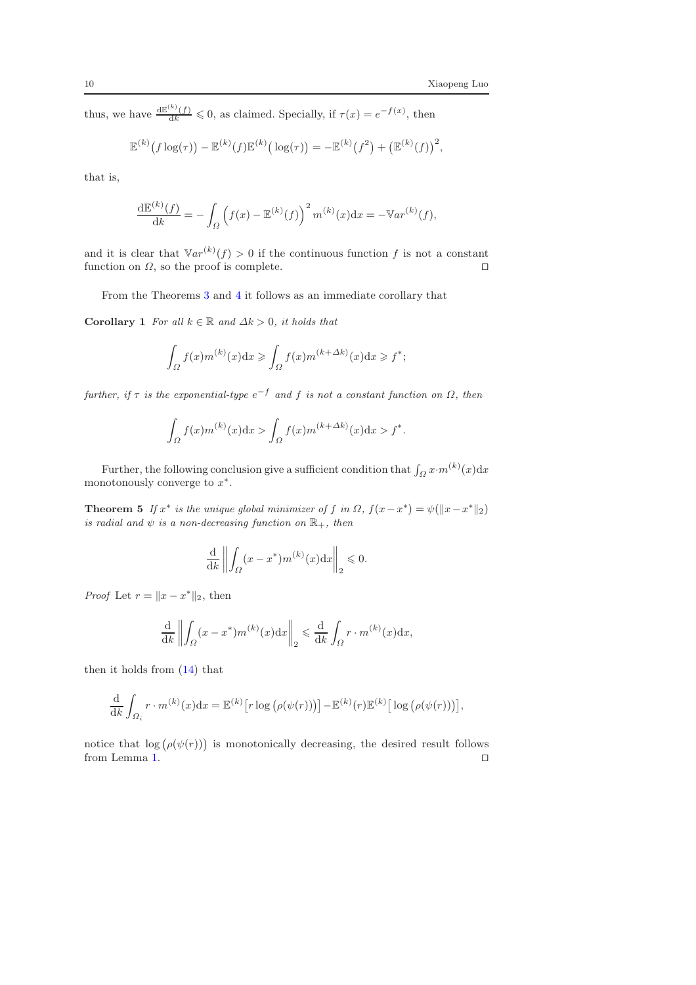thus, we have  $\frac{d\mathbb{E}^{(k)}(f)}{dk} \leq 0$ , as claimed. Specially, if  $\tau(x) = e^{-f(x)}$ , then

$$
\mathbb{E}^{(k)}(f \log(\tau)) - \mathbb{E}^{(k)}(f) \mathbb{E}^{(k)}(\log(\tau)) = -\mathbb{E}^{(k)}(f^2) + (\mathbb{E}^{(k)}(f))^2,
$$

that is,

$$
\frac{\mathrm{d}\mathbb{E}^{(k)}(f)}{\mathrm{d}k} = -\int_{\Omega} \left( f(x) - \mathbb{E}^{(k)}(f) \right)^2 m^{(k)}(x) \mathrm{d}x = -\mathbb{V}ar^{(k)}(f),
$$

and it is clear that  $\mathbb{V}ar^{(k)}(f) > 0$  if the continuous function f is not a constant function on  $\Omega$ , so the proof is complete. □

From the Theorems [3](#page-7-0) and [4](#page-8-1) it follows as an immediate corollary that

Corollary 1 *For all*  $k \in \mathbb{R}$  *and*  $\Delta k > 0$ *, it holds that* 

$$
\int_{\Omega} f(x) m^{(k)}(x) dx \geq \int_{\Omega} f(x) m^{(k+\Delta k)}(x) dx \geq f^*;
$$

 $further, if \tau is the exponential-type e^{-f} and f is not a constant function on  $\Omega$ , then$ 

$$
\int_{\Omega} f(x) m^{(k)}(x) dx > \int_{\Omega} f(x) m^{(k+\Delta k)}(x) dx > f^*.
$$

Further, the following conclusion give a sufficient condition that  $\int_{\Omega} x \cdot m^{(k)}(x) dx$ monotonously converge to  $x^*$ .

**Theorem 5** If  $x^*$  is the unique global minimizer of f in  $\Omega$ ,  $f(x-x^*) = \psi(||x-x^*||_2)$ *is radial and*  $\psi$  *is a non-decreasing function on*  $\mathbb{R}_+$ *, then* 

$$
\frac{\mathrm{d}}{\mathrm{d}k} \left\| \int_{\Omega} (x - x^*) m^{(k)}(x) \mathrm{d}x \right\|_2 \leqslant 0.
$$

*Proof* Let  $r = ||x - x^*||_2$ , then

$$
\frac{\mathrm{d}}{\mathrm{d}k} \left\| \int_{\Omega} (x - x^*) m^{(k)}(x) \mathrm{d}x \right\|_2 \leq \frac{\mathrm{d}}{\mathrm{d}k} \int_{\Omega} r \cdot m^{(k)}(x) \mathrm{d}x,
$$

then it holds from [\(14\)](#page-8-2) that

$$
\frac{\mathrm{d}}{\mathrm{d}k} \int_{\Omega_i} r \cdot m^{(k)}(x) \mathrm{d}x = \mathbb{E}^{(k)} \left[ r \log \left( \rho(\psi(r)) \right) \right] - \mathbb{E}^{(k)}(r) \mathbb{E}^{(k)} \left[ \log \left( \rho(\psi(r)) \right) \right],
$$

notice that  $log(\rho(\psi(r)))$  is monotonically decreasing, the desired result follows from Lemma [1.](#page-8-0)  $□$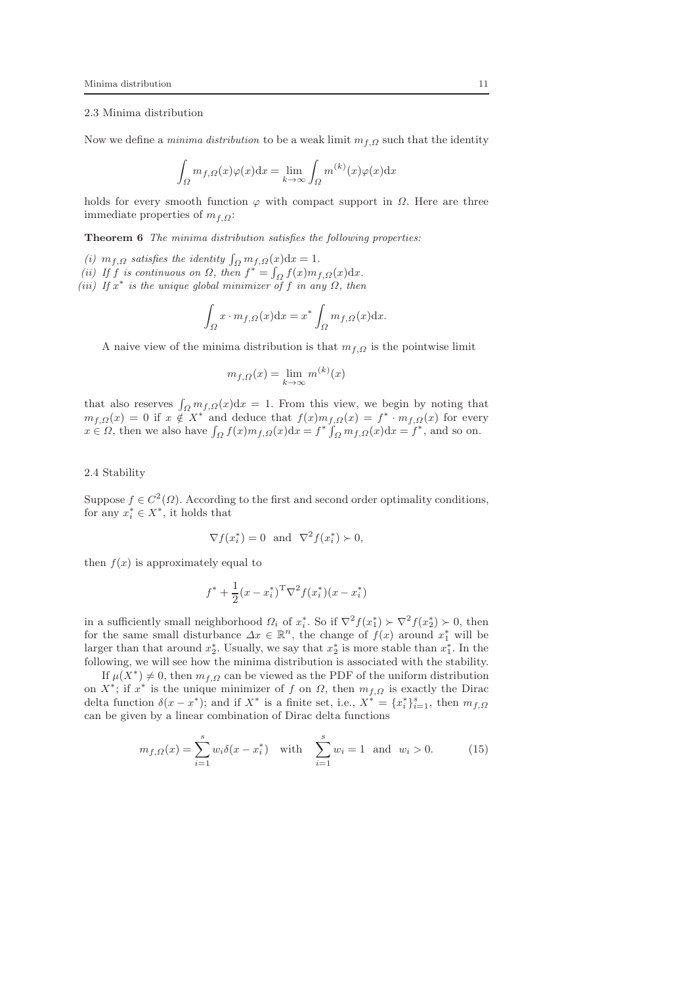## 2.3 Minima distribution

Now we define a *minima distribution* to be a weak limit  $m_{f,Q}$  such that the identity

$$
\int_{\Omega} m_{f,\Omega}(x)\varphi(x)dx = \lim_{k \to \infty} \int_{\Omega} m^{(k)}(x)\varphi(x)dx
$$

holds for every smooth function  $\varphi$  with compact support in  $\Omega$ . Here are three immediate properties of  $m_{f,\Omega}$ :

Theorem 6 *The minima distribution satisfies the following properties:*

- (*i*)  $m_{f,\Omega}$  *satisfies the identity*  $\int_{\Omega} m_{f,\Omega}(x) dx = 1$ *.*
- (*ii*) If f is continuous on  $\Omega$ , then  $f^* = \int_{\Omega} f(x) m_{f,\Omega}(x) dx$ .
- $(iii)$  *If*  $x^*$  *is the unique global minimizer of*  $f$  *in any*  $\Omega$ *, then*

$$
\int_{\Omega} x \cdot m_{f,\Omega}(x) dx = x^* \int_{\Omega} m_{f,\Omega}(x) dx.
$$

A naive view of the minima distribution is that  $m_{f,Q}$  is the pointwise limit

$$
m_{f,\Omega}(x) = \lim_{k \to \infty} m^{(k)}(x)
$$

that also reserves  $\int_{\Omega} m_{f,\Omega}(x) dx = 1$ . From this view, we begin by noting that  $m_{f,\Omega}(x) = 0$  if  $x \notin X^*$  and deduce that  $f(x)m_{f,\Omega}(x) = f^* \cdot m_{f,\Omega}(x)$  for every  $x \in \Omega$ , then we also have  $\int_{\Omega} f(x)m_{f,\Omega}(x)dx = f^* \int_{\Omega} m_{f,\Omega}(x)dx = f^*$ , and so on.

2.4 Stability

Suppose  $f \in C^2(\Omega)$ . According to the first and second order optimality conditions, for any  $x_i^* \in X^*$ , it holds that

$$
\nabla f(x_i^*) = 0 \text{ and } \nabla^2 f(x_i^*) \succ 0,
$$

then  $f(x)$  is approximately equal to

<span id="page-10-0"></span>
$$
f^* + \frac{1}{2}(x - x_i^*)^T \nabla^2 f(x_i^*)(x - x_i^*)
$$

in a sufficiently small neighborhood  $\Omega_i$  of  $x_i^*$ . So if  $\nabla^2 f(x_1^*) \succ \nabla^2 f(x_2^*) \succ 0$ , then for the same small disturbance  $\Delta x \in \mathbb{R}^n$ , the change of  $f(x)$  around  $x_1^*$  will be larger than that around  $x_2^*$ . Usually, we say that  $x_2^*$  is more stable than  $x_1^*$ . In the following, we will see how the minima distribution is associated with the stability.

If  $\mu(X^*) \neq 0$ , then  $m_{f,\Omega}$  can be viewed as the PDF of the uniform distribution on  $X^*$ ; if  $x^*$  is the unique minimizer of f on  $\Omega$ , then  $m_{f,\Omega}$  is exactly the Dirac delta function  $\delta(x-x^*)$ ; and if  $X^*$  is a finite set, i.e.,  $X^{*'} = \{x_i^*\}_{i=1}^s$ , then  $m_{f,\Omega}$ can be given by a linear combination of Dirac delta functions

$$
m_{f,\Omega}(x) = \sum_{i=1}^{s} w_i \delta(x - x_i^*) \quad \text{with} \quad \sum_{i=1}^{s} w_i = 1 \quad \text{and} \quad w_i > 0. \tag{15}
$$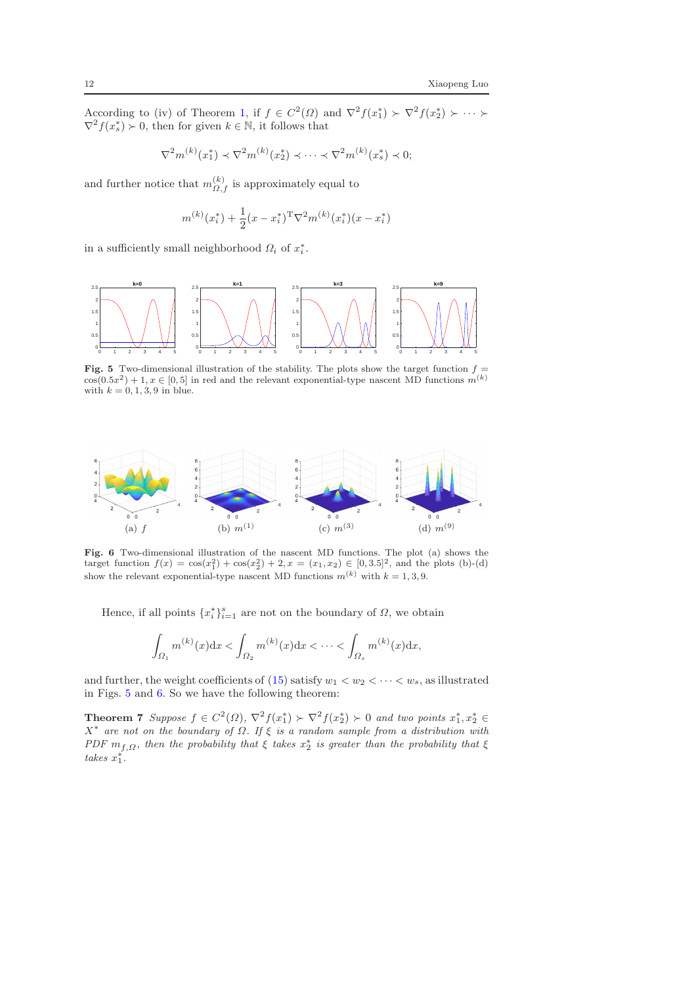According to (iv) of Theorem [1,](#page-4-2) if  $f \in C^2(\Omega)$  and  $\nabla^2 f(x_1^*) \succ \nabla^2 f(x_2^*) \succ \cdots \succ$  $\nabla^2 f(x_s^*) \succ 0$ , then for given  $k \in \mathbb{N}$ , it follows that

$$
\nabla^2 m^{(k)}(x_1^*) \prec \nabla^2 m^{(k)}(x_2^*) \prec \cdots \prec \nabla^2 m^{(k)}(x_s^*) \prec 0;
$$

and further notice that  $m_{\Omega,f}^{(k)}$  is approximately equal to

$$
m^{(k)}(x_i^*) + \frac{1}{2}(x - x_i^*)^{\mathrm{T}} \nabla^2 m^{(k)}(x_i^*)(x - x_i^*)
$$

in a sufficiently small neighborhood  $\Omega_i$  of  $x_i^*$ .

0 1 2 3 4 5 0.5 1 1.5 2 2.5 **k=0** 0 1 2 3 4 5 0 0.5 1 1.5 2 2.5 **k=1** 0 1 2 3 4 5 0.5 1 1.5 2 2.5 **k=3** 0 1 2 3 4 5 0 0.5 1 1.5 2 2.5 **k=9**

<span id="page-11-0"></span>Fig. 5 Two-dimensional illustration of the stability. The plots show the target function  $f =$  $\cos(0.5x^2) + 1, x \in [0, 5]$  in red and the relevant exponential-type nascent MD functions  $m^{(k)}$ with  $k = 0, 1, 3, 9$  in blue.



<span id="page-11-1"></span>Fig. 6 Two-dimensional illustration of the nascent MD functions. The plot (a) shows the target function  $f(x) = \cos(x_1^2) + \cos(x_2^2) + 2, x = (x_1, x_2) \in [0, 3.5]^2$ , and the plots (b)-(d) show the relevant exponential-type nascent MD functions  $m^{(k)}$  with  $k = 1, 3, 9$ .

Hence, if all points  $\{x_i^*\}_{i=1}^s$  are not on the boundary of  $\Omega$ , we obtain

$$
\int_{\Omega_1} m^{(k)}(x) dx < \int_{\Omega_2} m^{(k)}(x) dx < \dots < \int_{\Omega_s} m^{(k)}(x) dx,
$$

and further, the weight coefficients of [\(15\)](#page-10-0) satisfy  $w_1 < w_2 < \cdots < w_s$ , as illustrated in Figs. [5](#page-11-0) and [6.](#page-11-1) So we have the following theorem:

Theorem 7 *Suppose*  $f \in C^2(\Omega)$ ,  $\nabla^2 f(x_1^*) \succ \nabla^2 f(x_2^*) \succ 0$  and two points  $x_1^*, x_2^* \in$ X ∗ *are not on the boundary of* Ω*. If* ξ *is a random sample from a distribution with PDF*  $m_{f,\Omega}$ *, then the probability that*  $\xi$  *takes*  $x_2^*$  *is greater than the probability that*  $\xi$  $takes \ x_1^*$ .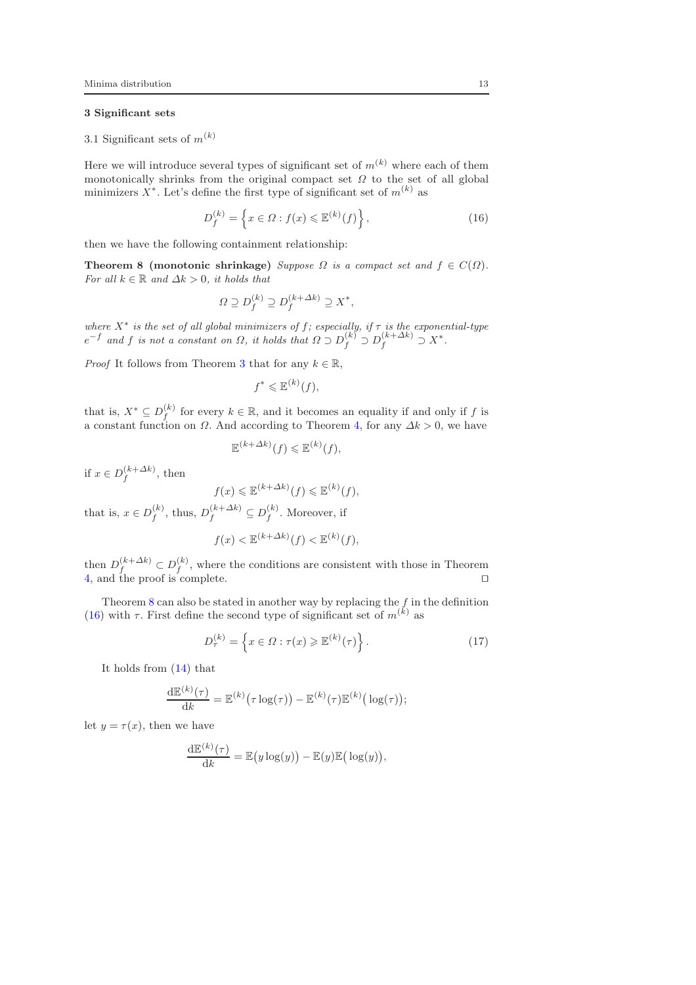## <span id="page-12-0"></span>3 Significant sets

3.1 Significant sets of  $m^{(k)}$ 

Here we will introduce several types of significant set of  $m^{(k)}$  where each of them monotonically shrinks from the original compact set  $\Omega$  to the set of all global minimizers  $X^*$ . Let's define the first type of significant set of  $m^{(k)}$  as

<span id="page-12-2"></span>
$$
D_f^{(k)} = \left\{ x \in \Omega : f(x) \leqslant \mathbb{E}^{(k)}(f) \right\},\tag{16}
$$

then we have the following containment relationship:

**Theorem 8 (monotonic shrinkage)** *Suppose*  $\Omega$  *is a compact set and*  $f \in C(\Omega)$ *. For all*  $k \in \mathbb{R}$  *and*  $\Delta k > 0$ *, it holds that* 

<span id="page-12-1"></span>
$$
\Omega \supseteq D_f^{(k)} \supseteq D_f^{(k+\Delta k)} \supseteq X^*,
$$

*where* X<sup>∗</sup> *is the set of all global minimizers of* f*; especially, if* τ *is the exponential-type*  $e^{-f}$  and f is not a constant on  $\Omega$ , it holds that  $\Omega \supset D_f^{(k)} \supset D_f^{(k+\Delta k)} \supseteq X^*$ .

*Proof* It follows from Theorem [3](#page-7-0) that for any  $k \in \mathbb{R}$ ,

$$
f^* \leqslant \mathbb{E}^{(k)}(f),
$$

that is,  $X^* \subseteq D_f^{(k)}$  for every  $k \in \mathbb{R}$ , and it becomes an equality if and only if f is a constant function on  $\Omega$ . And according to Theorem [4,](#page-8-1) for any  $\Delta k > 0$ , we have

$$
\mathbb{E}^{(k+\Delta k)}(f) \leq \mathbb{E}^{(k)}(f),
$$

if  $x \in D_f^{(k+\Delta k)}$ , then

$$
f(x) \leq \mathbb{E}^{(k+\Delta k)}(f) \leq \mathbb{E}^{(k)}(f),
$$

that is,  $x \in D_f^{(k)}$ , thus,  $D_f^{(k+\Delta k)} \subseteq D_f^{(k)}$ . Moreover, if

$$
f(x) < \mathbb{E}^{(k+\Delta k)}(f) < \mathbb{E}^{(k)}(f),
$$

then  $D_f^{(k+\Delta k)} \subset D_f^{(k)}$ , where the conditions are consistent with those in Theorem [4,](#page-8-1) and the proof is complete. ⊓⊔

Theorem  $8$  can also be stated in another way by replacing the  $f$  in the definition [\(16\)](#page-12-2) with  $\tau$ . First define the second type of significant set of  $m^{(k)}$  as

$$
D_{\tau}^{(k)} = \left\{ x \in \Omega : \tau(x) \geq \mathbb{E}^{(k)}(\tau) \right\}.
$$
 (17)

It holds from [\(14\)](#page-8-2) that

$$
\frac{\mathrm{d}\mathbb{E}^{(k)}(\tau)}{\mathrm{d}k} = \mathbb{E}^{(k)}(\tau \log(\tau)) - \mathbb{E}^{(k)}(\tau)\mathbb{E}^{(k)}(\log(\tau));
$$

let  $y = \tau(x)$ , then we have

$$
\frac{\mathrm{d}\mathbb{E}^{(k)}(\tau)}{\mathrm{d}k} = \mathbb{E}\big(y\log(y)\big) - \mathbb{E}(y)\mathbb{E}\big(\log(y)\big),\,
$$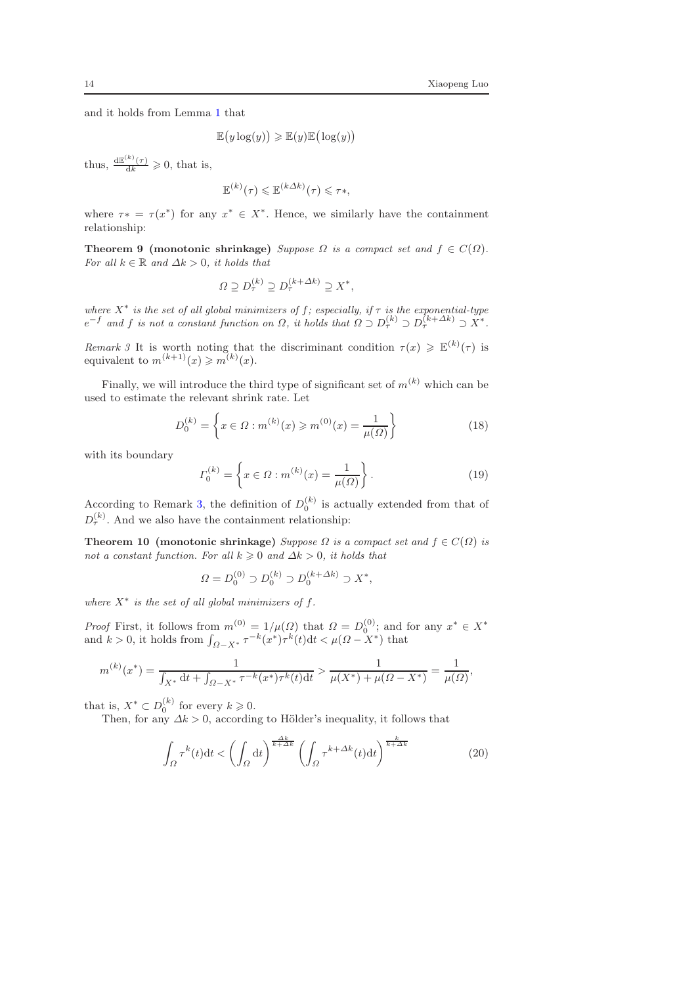<span id="page-13-1"></span>,

and it holds from Lemma [1](#page-8-0) that

 $\mathbb{E}(y \log(y)) \geq \mathbb{E}(y) \mathbb{E}(\log(y))$ 

thus,  $\frac{d\mathbb{E}^{(k)}(\tau)}{dk} \geq 0$ , that is,

$$
\mathbb{E}^{(k)}(\tau) \leq \mathbb{E}^{(k\Delta k)}(\tau) \leq \tau*,
$$

where  $\tau^* = \tau(x^*)$  for any  $x^* \in X^*$ . Hence, we similarly have the containment relationship:

**Theorem 9 (monotonic shrinkage)** *Suppose*  $\Omega$  *is a compact set and*  $f \in C(\Omega)$ *. For all*  $k \in \mathbb{R}$  *and*  $\Delta k > 0$ *, it holds that* 

$$
\Omega \supseteq D_{\tau}^{(k)} \supseteq D_{\tau}^{(k+\Delta k)} \supseteq X^*,
$$

*where* X ∗ *is the set of all global minimizers of* f*; especially, if* τ *is the exponential-type*  $e^{-f}$  and f is not a constant function on  $\Omega$ , it holds that  $\Omega \supset D_{\tau}^{(k)} \supset D_{\tau}^{(k+\Delta k)} \supset X^*$ .

<span id="page-13-0"></span>*Remark 3* It is worth noting that the discriminant condition  $\tau(x) \geq \mathbb{E}^{(k)}(\tau)$  is equivalent to  $m^{(k+1)}(x) \geq m^{(k)}(x)$ .

Finally, we will introduce the third type of significant set of  $m^{(k)}$  which can be used to estimate the relevant shrink rate. Let

$$
D_0^{(k)} = \left\{ x \in \Omega : m^{(k)}(x) \ge m^{(0)}(x) = \frac{1}{\mu(\Omega)} \right\}
$$
 (18)

with its boundary

<span id="page-13-2"></span>
$$
\Gamma_0^{(k)} = \left\{ x \in \Omega : m^{(k)}(x) = \frac{1}{\mu(\Omega)} \right\}.
$$
\n(19)

According to Remark [3,](#page-13-0) the definition of  $D_0^{(k)}$  is actually extended from that of  $D_{\tau}^{(k)}$ . And we also have the containment relationship:

Theorem 10 (monotonic shrinkage) *Suppose*  $\Omega$  *is a compact set and*  $f \in C(\Omega)$  *is not a constant function. For all*  $k \geq 0$  *and*  $\Delta k > 0$ *, it holds that* 

$$
\Omega = D_0^{(0)} \supset D_0^{(k)} \supset D_0^{(k+\Delta k)} \supset X^*,
$$

where  $X^*$  is the set of all global minimizers of  $f$ .

*Proof* First, it follows from  $m^{(0)} = 1/\mu(\Omega)$  that  $\Omega = D_0^{(0)}$ ; and for any  $x^* \in X^*$ and  $k > 0$ , it holds from  $\int_{\Omega - X^*} \tau^{-k} (x^*) \tau^k(t) dt < \mu(\Omega - X^*)$  that

$$
m^{(k)}(x^*) = \frac{1}{\int_{X^*} \mathrm{d}t + \int_{\Omega - X^*} \tau^{-k}(x^*) \tau^{k}(t) \mathrm{d}t} > \frac{1}{\mu(X^*) + \mu(\Omega - X^*)} = \frac{1}{\mu(\Omega)}
$$

that is,  $X^* \subset D_0^{(k)}$  for every  $k \geqslant 0$ .

Then, for any  $\Delta k > 0$ , according to Hölder's inequality, it follows that

$$
\int_{\Omega} \tau^{k}(t)dt < \left(\int_{\Omega} dt\right)^{\frac{\Delta k}{k+\Delta k}} \left(\int_{\Omega} \tau^{k+\Delta k}(t)dt\right)^{\frac{k}{k+\Delta k}}
$$
\n(20)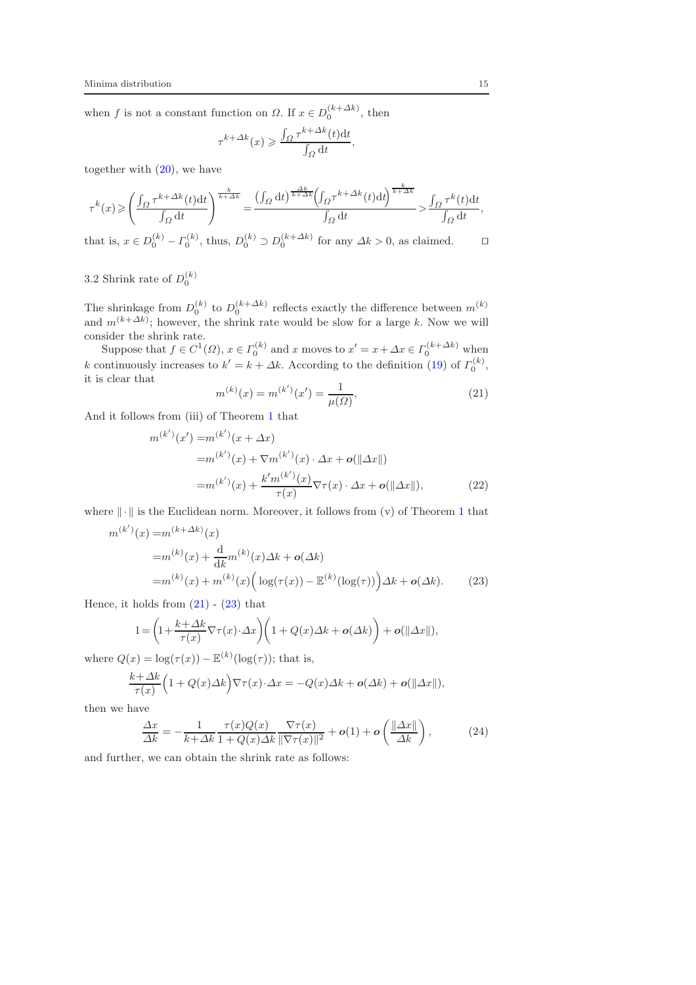when f is not a constant function on  $\Omega$ . If  $x \in D_0^{(k+\Delta k)}$ , then

$$
\tau^{k+\Delta k}(x) \geqslant \frac{\int_{\Omega} \tau^{k+\Delta k}(t) dt}{\int_{\Omega} dt},
$$

together with  $(20)$ , we have

$$
\tau^k(x)\!\geqslant\!\left(\frac{\int_\Omega\tau^{k+\varDelta k}(t)\mathrm{d} t}{\int_\Omega\mathrm{d} t}\right)^{\frac{k}{k+\varDelta k}}\!=\!\frac{\left(\int_\Omega\mathrm{d} t\right)^{\frac{\varDelta k}{k+\varDelta k}}\!\!\left(\!\int_\Omega\!\tau^{k+\varDelta k}(t)\mathrm{d} t\!\right)^{\frac{k}{k+\varDelta k}}}{\int_\Omega\mathrm{d} t}\!>\!\frac{\int_\Omega\tau^k(t)\mathrm{d} t}{\int_\Omega\mathrm{d} t},
$$

that is,  $x \in D_0^{(k)} - \Gamma_0^{(k)}$ , thus,  $D_0^{(k)} \supset D_0^{(k+\Delta k)}$  for any  $\Delta k > 0$ , as claimed.  $\Box$ 

# 3.2 Shrink rate of  $D_0^{(k)}$

The shrinkage from  $D_0^{(k)}$  to  $D_0^{(k+\Delta k)}$  reflects exactly the difference between  $m^{(k)}$ and  $m^{(k+\Delta k)}$ ; however, the shrink rate would be slow for a large k. Now we will consider the shrink rate.

Suppose that  $f \in C^1(\Omega)$ ,  $x \in \Gamma_0^{(k)}$  and x moves to  $x' = x + \Delta x \in \Gamma_0^{(k+\Delta k)}$  when k continuously increases to  $k' = k + \Delta k$ . According to the definition [\(19\)](#page-13-2) of  $\Gamma_0^{(k)}$ , it is clear that

<span id="page-14-1"></span>
$$
m^{(k)}(x) = m^{(k')}(x') = \frac{1}{\mu(\Omega)},
$$
\n(21)

And it follows from (iii) of Theorem [1](#page-4-2) that

<span id="page-14-0"></span>
$$
m^{(k')}(x') = m^{(k')}(x + \Delta x)
$$
  
=  $m^{(k')}(x) + \nabla m^{(k')}(x) \cdot \Delta x + o(||\Delta x||)$   
=  $m^{(k')}(x) + \frac{k'm^{(k')}(x)}{\tau(x)} \nabla \tau(x) \cdot \Delta x + o(||\Delta x||),$  (22)

where  $\|\cdot\|$  is the Euclidean norm. Moreover, it follows from (v) of Theorem [1](#page-4-2) that

$$
m^{(k')}(x) = m^{(k+\Delta k)}(x)
$$
  
= $m^{(k)}(x) + \frac{d}{dk}m^{(k)}(x)\Delta k + o(\Delta k)$   
= $m^{(k)}(x) + m^{(k)}(x) \Big( \log(\tau(x)) - \mathbb{E}^{(k)}(\log(\tau)) \Big) \Delta k + o(\Delta k).$  (23)

Hence, it holds from  $(21)$  -  $(23)$  that

$$
1 = \left(1 + \frac{k + \Delta k}{\tau(x)} \nabla \tau(x) \cdot \Delta x\right) \left(1 + Q(x)\Delta k + o(\Delta k)\right) + o(\|\Delta x\|),
$$

where  $Q(x) = \log(\tau(x)) - \mathbb{E}^{(k)}(\log(\tau))$ ; that is,

$$
\frac{k+\Delta k}{\tau(x)}\Big(1+Q(x)\Delta k\Big)\nabla\tau(x)\cdot\Delta x=-Q(x)\Delta k+o(\Delta k)+o(\|\Delta x\|),
$$

then we have

<span id="page-14-3"></span><span id="page-14-2"></span>
$$
\frac{\Delta x}{\Delta k} = -\frac{1}{k + \Delta k} \frac{\tau(x)Q(x)}{1 + Q(x)\Delta k} \frac{\nabla \tau(x)}{\|\nabla \tau(x)\|^2} + o(1) + o\left(\frac{\|\Delta x\|}{\Delta k}\right),\tag{24}
$$

and further, we can obtain the shrink rate as follows: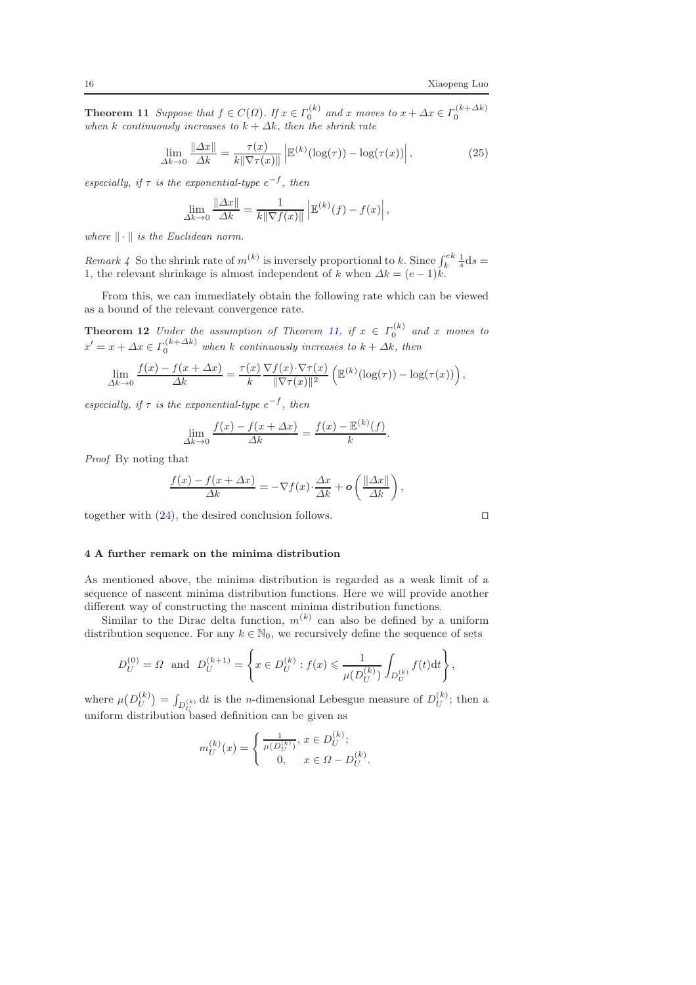**Theorem 11** *Suppose that*  $f \in C(\Omega)$ *. If*  $x \in \Gamma_0^{(k)}$  *and*  $x$  *moves* to  $x + \Delta x \in \Gamma_0^{(k+\Delta k)}$  *when*  $k$  *continuously increases to*  $k + \Delta k$ *, then the shrink rate* 

$$
\lim_{\Delta k \to 0} \frac{\|\Delta x\|}{\Delta k} = \frac{\tau(x)}{k \|\nabla \tau(x)\|} \left| \mathbb{E}^{(k)}(\log(\tau)) - \log(\tau(x)) \right|,
$$
\n(25)

 $\epsilon$ *especially, if*  $\tau$  *is the exponential-type*  $e^{-f}$ *, then* 

$$
\lim_{\Delta k \to 0} \frac{\|\Delta x\|}{\Delta k} = \frac{1}{k \|\nabla f(x)\|} \left| \mathbb{E}^{(k)}(f) - f(x) \right|,
$$

*where*  $\|\cdot\|$  *is the Euclidean norm.* 

*Remark 4* So the shrink rate of  $m^{(k)}$  is inversely proportional to k. Since  $\int_k^{ek} \frac{1}{s} ds =$ 1, the relevant shrinkage is almost independent of k when  $\Delta k = (e-1)k$ .

From this, we can immediately obtain the following rate which can be viewed as a bound of the relevant convergence rate.

**Theorem 12** *Under the assumption of Theorem [11,](#page-14-2) if*  $x \in \Gamma_0^{(k)}$  *and* x *moves to*  $x' = x + \Delta x \in \Gamma_0^{(k+\Delta k)}$  when k continuously increases to  $k + \Delta k$ , then

$$
\lim_{\Delta k \to 0} \frac{f(x) - f(x + \Delta x)}{\Delta k} = \frac{\tau(x)}{k} \frac{\nabla f(x) \cdot \nabla \tau(x)}{\|\nabla \tau(x)\|^2} \left( \mathbb{E}^{(k)}(\log(\tau)) - \log(\tau(x)) \right),
$$

 $\epsilon$ *especially, if*  $\tau$  *is the exponential-type*  $e^{-f}$ *, then* 

$$
\lim_{\Delta k \to 0} \frac{f(x) - f(x + \Delta x)}{\Delta k} = \frac{f(x) - \mathbb{E}^{(k)}(f)}{k}.
$$

*Proof* By noting that

$$
\frac{f(x) - f(x + \Delta x)}{\Delta k} = -\nabla f(x) \cdot \frac{\Delta x}{\Delta k} + \mathbf{o}\left(\frac{\|\Delta x\|}{\Delta k}\right),
$$

together with [\(24\)](#page-14-3), the desired conclusion follows. □

## <span id="page-15-0"></span>4 A further remark on the minima distribution

As mentioned above, the minima distribution is regarded as a weak limit of a sequence of nascent minima distribution functions. Here we will provide another different way of constructing the nascent minima distribution functions.

Similar to the Dirac delta function,  $m^{(k)}$  can also be defined by a uniform distribution sequence. For any  $k \in \mathbb{N}_0$ , we recursively define the sequence of sets

$$
D_U^{(0)} = \Omega \text{ and } D_U^{(k+1)} = \left\{ x \in D_U^{(k)} : f(x) \leq \frac{1}{\mu(D_U^{(k)})} \int_{D_U^{(k)}} f(t) dt \right\},\
$$

where  $\mu(D_U^{(k)}) = \int_{D_U^{(k)}} dt$  is the *n*-dimensional Lebesgue measure of  $D_U^{(k)}$ ; then a uniform distribution based definition can be given as

$$
m_U^{(k)}(x) = \begin{cases} \frac{1}{\mu(D_U^{(k)})}, x \in D_U^{(k)}; \\ 0, x \in \Omega - D_U^{(k)}. \end{cases}
$$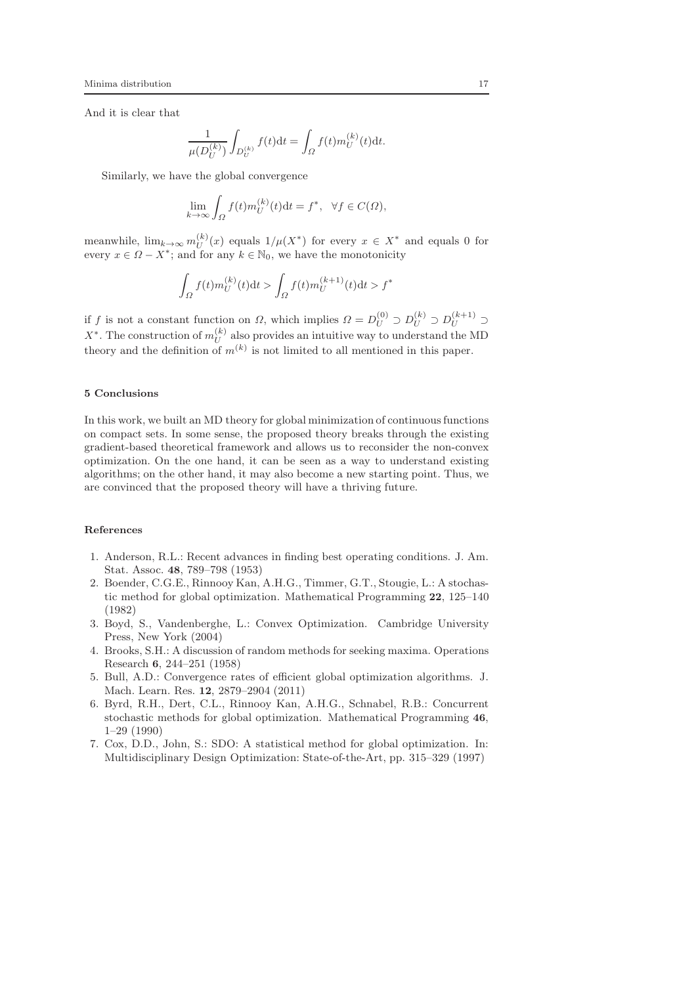And it is clear that

$$
\frac{1}{\mu(D_U^{(k)})} \int_{D_U^{(k)}} f(t) dt = \int_{\Omega} f(t) m_U^{(k)}(t) dt.
$$

Similarly, we have the global convergence

$$
\lim_{k \to \infty} \int_{\Omega} f(t) m_U^{(k)}(t) dt = f^*, \quad \forall f \in C(\Omega),
$$

meanwhile,  $\lim_{k\to\infty} m_U^{(k)}(x)$  equals  $1/\mu(X^*)$  for every  $x \in X^*$  and equals 0 for every  $x \in \Omega - X^*$ ; and for any  $k \in \mathbb{N}_0$ , we have the monotonicity

$$
\int_{\Omega} f(t) m_U^{(k)}(t) dt > \int_{\Omega} f(t) m_U^{(k+1)}(t) dt > f^*
$$

if f is not a constant function on  $\Omega$ , which implies  $\Omega = D_U^{(0)} \supset D_U^{(k)} \supset D_U^{(k+1)} \supset$  $X^*$ . The construction of  $m_U^{(k)}$  also provides an intuitive way to understand the MD theory and the definition of  $m^{(k)}$  is not limited to all mentioned in this paper.

## <span id="page-16-7"></span>5 Conclusions

In this work, we built an MD theory for global minimization of continuous functions on compact sets. In some sense, the proposed theory breaks through the existing gradient-based theoretical framework and allows us to reconsider the non-convex optimization. On the one hand, it can be seen as a way to understand existing algorithms; on the other hand, it may also become a new starting point. Thus, we are convinced that the proposed theory will have a thriving future.

### References

- <span id="page-16-2"></span>1. Anderson, R.L.: Recent advances in finding best operating conditions. J. Am. Stat. Assoc. 48, 789–798 (1953)
- <span id="page-16-0"></span>2. Boender, C.G.E., Rinnooy Kan, A.H.G., Timmer, G.T., Stougie, L.: A stochastic method for global optimization. Mathematical Programming 22, 125–140 (1982)
- <span id="page-16-6"></span>3. Boyd, S., Vandenberghe, L.: Convex Optimization. Cambridge University Press, New York (2004)
- <span id="page-16-3"></span>4. Brooks, S.H.: A discussion of random methods for seeking maxima. Operations Research 6, 244–251 (1958)
- <span id="page-16-4"></span>5. Bull, A.D.: Convergence rates of efficient global optimization algorithms. J. Mach. Learn. Res. 12, 2879–2904 (2011)
- <span id="page-16-1"></span>6. Byrd, R.H., Dert, C.L., Rinnooy Kan, A.H.G., Schnabel, R.B.: Concurrent stochastic methods for global optimization. Mathematical Programming 46, 1–29 (1990)
- <span id="page-16-5"></span>7. Cox, D.D., John, S.: SDO: A statistical method for global optimization. In: Multidisciplinary Design Optimization: State-of-the-Art, pp. 315–329 (1997)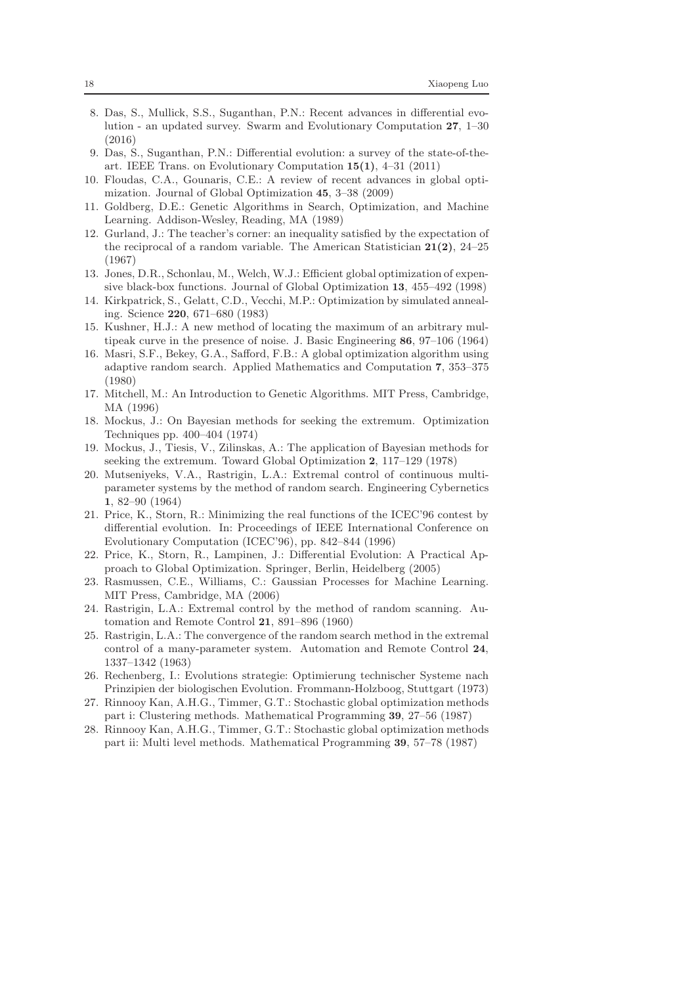- <span id="page-17-11"></span>8. Das, S., Mullick, S.S., Suganthan, P.N.: Recent advances in differential evolution - an updated survey. Swarm and Evolutionary Computation 27, 1–30 (2016)
- <span id="page-17-10"></span>9. Das, S., Suganthan, P.N.: Differential evolution: a survey of the state-of-theart. IEEE Trans. on Evolutionary Computation 15(1), 4–31 (2011)
- <span id="page-17-18"></span>10. Floudas, C.A., Gounaris, C.E.: A review of recent advances in global optimization. Journal of Global Optimization 45, 3–38 (2009)
- <span id="page-17-6"></span>11. Goldberg, D.E.: Genetic Algorithms in Search, Optimization, and Machine Learning. Addison-Wesley, Reading, MA (1989)
- <span id="page-17-20"></span>12. Gurland, J.: The teacher's corner: an inequality satisfied by the expectation of the reciprocal of a random variable. The American Statistician  $21(2)$ ,  $24-25$ (1967)
- <span id="page-17-16"></span>13. Jones, D.R., Schonlau, M., Welch, W.J.: Efficient global optimization of expensive black-box functions. Journal of Global Optimization 13, 455–492 (1998)
- <span id="page-17-13"></span>14. Kirkpatrick, S., Gelatt, C.D., Vecchi, M.P.: Optimization by simulated annealing. Science 220, 671–680 (1983)
- <span id="page-17-17"></span>15. Kushner, H.J.: A new method of locating the maximum of an arbitrary multipeak curve in the presence of noise. J. Basic Engineering 86, 97–106 (1964)
- <span id="page-17-2"></span>16. Masri, S.F., Bekey, G.A., Safford, F.B.: A global optimization algorithm using adaptive random search. Applied Mathematics and Computation 7, 353–375 (1980)
- <span id="page-17-7"></span>17. Mitchell, M.: An Introduction to Genetic Algorithms. MIT Press, Cambridge, MA (1996)
- <span id="page-17-14"></span>18. Mockus, J.: On Bayesian methods for seeking the extremum. Optimization Techniques pp. 400–404 (1974)
- <span id="page-17-15"></span>19. Mockus, J., Tiesis, V., Zilinskas, A.: The application of Bayesian methods for seeking the extremum. Toward Global Optimization 2, 117–129 (1978)
- <span id="page-17-5"></span>20. Mutseniyeks, V.A., Rastrigin, L.A.: Extremal control of continuous multiparameter systems by the method of random search. Engineering Cybernetics 1, 82–90 (1964)
- <span id="page-17-12"></span>21. Price, K., Storn, R.: Minimizing the real functions of the ICEC'96 contest by differential evolution. In: Proceedings of IEEE International Conference on Evolutionary Computation (ICEC'96), pp. 842–844 (1996)
- <span id="page-17-9"></span>22. Price, K., Storn, R., Lampinen, J.: Differential Evolution: A Practical Approach to Global Optimization. Springer, Berlin, Heidelberg (2005)
- <span id="page-17-19"></span>23. Rasmussen, C.E., Williams, C.: Gaussian Processes for Machine Learning. MIT Press, Cambridge, MA (2006)
- <span id="page-17-3"></span>24. Rastrigin, L.A.: Extremal control by the method of random scanning. Automation and Remote Control 21, 891–896 (1960)
- <span id="page-17-4"></span>25. Rastrigin, L.A.: The convergence of the random search method in the extremal control of a many-parameter system. Automation and Remote Control 24, 1337–1342 (1963)
- <span id="page-17-8"></span>26. Rechenberg, I.: Evolutions strategie: Optimierung technischer Systeme nach Prinzipien der biologischen Evolution. Frommann-Holzboog, Stuttgart (1973)
- <span id="page-17-0"></span>27. Rinnooy Kan, A.H.G., Timmer, G.T.: Stochastic global optimization methods part i: Clustering methods. Mathematical Programming 39, 27–56 (1987)
- <span id="page-17-1"></span>28. Rinnooy Kan, A.H.G., Timmer, G.T.: Stochastic global optimization methods part ii: Multi level methods. Mathematical Programming 39, 57–78 (1987)